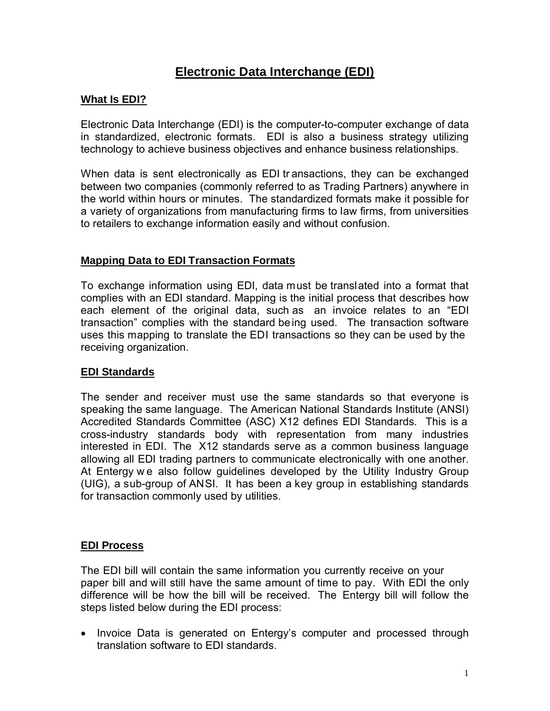# **Electronic Data Interchange (EDI)**

# **What Is EDI?**

Electronic Data Interchange (EDI) is the computer-to-computer exchange of data in standardized, electronic formats. EDI is also a business strategy utilizing technology to achieve business objectives and enhance business relationships.

When data is sent electronically as EDI transactions, they can be exchanged between two companies (commonly referred to as Trading Partners) anywhere in the world within hours or minutes. The standardized formats make it possible for a variety of organizations from manufacturing firms to law firms, from universities to retailers to exchange information easily and without confusion.

## **Mapping Data to EDI Transaction Formats**

To exchange information using EDI, data must be translated into a format that complies with an EDI standard. Mapping is the initial process that describes how each element of the original data, such as an invoice relates to an "EDI transaction" complies with the standard being used. The transaction software uses this mapping to translate the EDI transactions so they can be used by the receiving organization.

#### **EDI Standards**

The sender and receiver must use the same standards so that everyone is speaking the same language. The American National Standards Institute (ANSI) Accredited Standards Committee (ASC) X12 defines EDI Standards. This is a cross-industry standards body with representation from many industries interested in EDI. The X12 standards serve as a common business language allowing all EDI trading partners to communicate electronically with one another. At Entergy w e also follow guidelines developed by the Utility Industry Group (UIG), a sub-group of ANSI. It has been a key group in establishing standards for transaction commonly used by utilities.

#### **EDI Process**

The EDI bill will contain the same information you currently receive on your paper bill and will still have the same amount of time to pay. With EDI the only difference will be how the bill will be received. The Entergy bill will follow the steps listed below during the EDI process:

• Invoice Data is generated on Entergy's computer and processed through translation software to EDI standards.